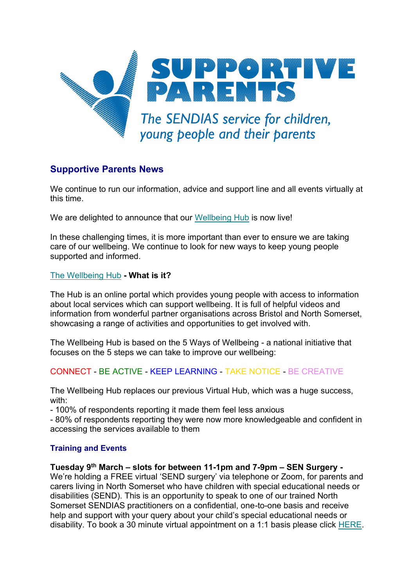

# **Supportive Parents News**

We continue to run our information, advice and support line and all events virtually at this time.

We are delighted to announce that our [Wellbeing Hub](https://www.supportiveparents.org.uk/young-people-16-25/virtual-hub/north-somerset-hub/) is now live!

In these challenging times, it is more important than ever to ensure we are taking care of our wellbeing. We continue to look for new ways to keep young people supported and informed.

## [The Wellbeing Hub](https://www.supportiveparents.org.uk/) **- What is it?**

The Hub is an online portal which provides young people with access to information about local services which can support wellbeing. It is full of helpful videos and information from wonderful partner organisations across Bristol and North Somerset, showcasing a range of activities and opportunities to get involved with.

The Wellbeing Hub is based on the 5 Ways of Wellbeing - a national initiative that focuses on the 5 steps we can take to improve our wellbeing:

# CONNECT - BE ACTIVE - KEEP LEARNING - TAKE NOTICE - BE CREATIVE

The Wellbeing Hub replaces our previous Virtual Hub, which was a huge success, with:

- 100% of respondents reporting it made them feel less anxious

- 80% of respondents reporting they were now more knowledgeable and confident in accessing the services available to them

# **Training and Events**

**Tuesday 9th March – slots for between 11-1pm and 7-9pm – SEN Surgery -**

We're holding a FREE virtual 'SEND surgery' via telephone or Zoom, for parents and carers living in North Somerset who have children with special educational needs or disabilities (SEND). This is an opportunity to speak to one of our trained North Somerset SENDIAS practitioners on a confidential, one-to-one basis and receive help and support with your query about your child's special educational needs or disability. To book a 30 minute virtual appointment on a 1:1 basis please click [HERE.](https://www.eventbrite.co.uk/e/north-somerset-send-surgery-tuesday-9th-march-2021-11am-1pm-7-9pm-tickets-129014520905)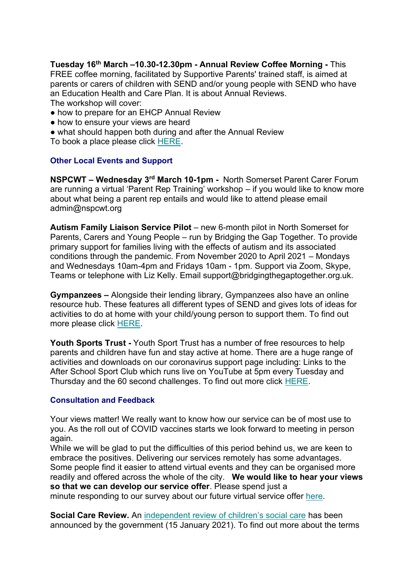**Tuesday 16th March –10.30-12.30pm - Annual Review Coffee Morning -** This FREE coffee morning, facilitated by Supportive Parents' trained staff, is aimed at parents or carers of children with SEND and/or young people with SEND who have an Education Health and Care Plan. It is about Annual Reviews. The workshop will cover:

- how to prepare for an EHCP Annual Review
- how to ensure your views are heard
- what should happen both during and after the Annual Review

To book a place please click [HERE.](https://www.eventbrite.co.uk/e/north-somerset-annual-review-coffee-morning-tickets-129011963255)

## **Other Local Events and Support**

**NSPCWT – Wednesday 3rd March 10-1pm -** North Somerset Parent Carer Forum are running a virtual 'Parent Rep Training' workshop – if you would like to know more about what being a parent rep entails and would like to attend please email admin@nspcwt.org

**Autism Family Liaison Service Pilot** – new 6-month pilot in North Somerset for Parents, Carers and Young People – run by Bridging the Gap Together. To provide primary support for families living with the effects of autism and its associated conditions through the pandemic. From November 2020 to April 2021 – Mondays and Wednesdays 10am-4pm and Fridays 10am - 1pm. Support via Zoom, Skype, Teams or telephone with Liz Kelly. Email support@bridgingthegaptogether.org.uk.

**Gympanzees –** Alongside their lending library, Gympanzees also have an online resource hub. These features all different types of SEND and gives lots of ideas for activities to do at home with your child/young person to support them. To find out more please click [HERE.](https://www.gympanzees.org/our-home/online-resource-hub)

**Youth Sports Trust -** Youth Sport Trust has a number of free resources to help parents and children have fun and stay active at home. There are a huge range of activities and downloads on our coronavirus support page including: Links to the After School Sport Club which runs live on YouTube at 5pm every Tuesday and Thursday and the 60 second challenges. To find out more click [HERE.](https://www.youthsporttrust.org/freeresources)

## **Consultation and Feedback**

Your views matter! We really want to know how our service can be of most use to you. As the roll out of COVID vaccines starts we look forward to meeting in person again.

While we will be glad to put the difficulties of this period behind us, we are keen to embrace the positives. Delivering our services remotely has some advantages. Some people find it easier to attend virtual events and they can be organised more readily and offered across the whole of the city. **We would like to hear your views so that we can develop our service offer**. Please spend just a

minute responding to our survey about our future virtual service offer [here.](https://www.surveymonkey.co.uk/r/SPservicespostlockdown)

**Social Care Review.** An [independent review of children's social care](https://www.gov.uk/government/groups/independent-review-of-childrens-social-care) has been announced by the government (15 January 2021). To find out more about the terms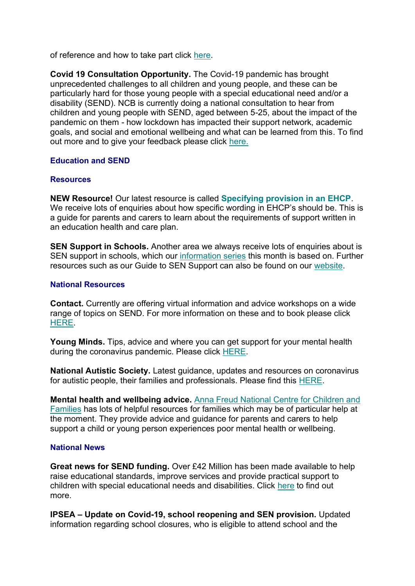of reference and how to take part click [here.](https://www.gov.uk/government/groups/independent-review-of-childrens-social-care)

**Covid 19 Consultation Opportunity.** The Covid-19 pandemic has brought unprecedented challenges to all children and young people, and these can be particularly hard for those young people with a special educational need and/or a disability (SEND). NCB is currently doing a national consultation to hear from children and young people with SEND, aged between 5-25, about the impact of the pandemic on them - how lockdown has impacted their support network, academic goals, and social and emotional wellbeing and what can be learned from this. To find out more and to give your feedback please click [here.](https://councilfordisabledchildren.org.uk/news-opinion/news/covid-19-consultation-opportunity)

## **Education and SEND**

#### **Resources**

**NEW Resource!** Our latest resource is called **[Specifying provision in an EHCP](https://www.supportiveparents.org.uk/wp-content/uploads/2021/01/Specifying-provision-in-an-EHC-Plan.pdf)**. We receive lots of enquiries about how specific wording in EHCP's should be. This is a guide for parents and carers to learn about the requirements of support written in an education health and care plan.

**SEN Support in Schools.** Another area we always receive lots of enquiries about is SEN support in schools, which our [information series](https://www.supportiveparents.org.uk/resources/information-series/) this month is based on. Further resources such as our Guide to SEN Support can also be found on our [website.](https://www.supportiveparents.org.uk/wp-content/uploads/2020/02/3-SEN-Support-Bristol.pdf)

#### **National Resources**

**Contact.** Currently are offering virtual information and advice workshops on a wide range of topics on SEND. For more information on these and to book please click [HERE.](https://www.contact.org.uk/help-for-families/family-workshops-events/)

**Young Minds.** Tips, advice and where you can get support for your mental health during the coronavirus pandemic. Please click [HERE.](https://youngminds.org.uk/find-help/looking-after-yourself/coronavirus-and-mental-health/)

**National Autistic Society.** Latest guidance, updates and resources on coronavirus for autistic people, their families and professionals. Please find this [HERE.](https://www.autism.org.uk/advice-and-guidance/topics/coronavirus)

**Mental health and wellbeing advice.** [Anna Freud National Centre for Children and](https://www.annafreud.org/parents-and-carers/)  [Families](https://www.annafreud.org/parents-and-carers/) has lots of helpful resources for families which may be of particular help at the moment. They provide advice and guidance for parents and carers to help support a child or young person experiences poor mental health or wellbeing.

#### **National News**

**Great news for SEND funding.** Over £42 Million has been made available to help raise educational standards, improve services and provide practical support to children with special educational needs and disabilities. Click [here](https://councilfordisabledchildren.org.uk/news-opinion/news/over-%C2%A342-million-support-extended-children-send) to find out more.

**IPSEA – Update on Covid-19, school reopening and SEN provision.** Updated information regarding school closures, who is eligible to attend school and the